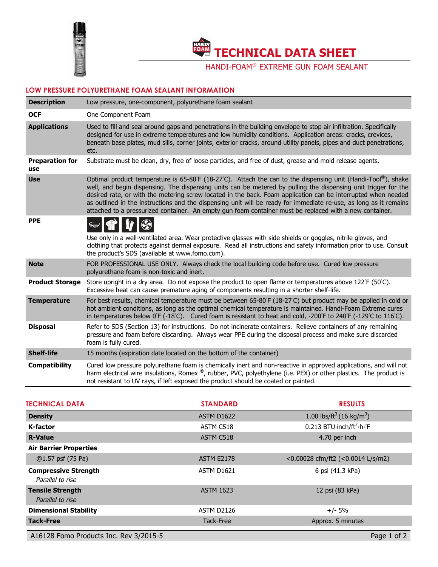

**TECHNICAL DATA SHEET** 

HANDI-FOAM® EXTREME GUN FOAM SEALANT

## **LOW PRESSURE POLYURETHANE FOAM SEALANT INFORMATION**

| <b>Description</b>            | Low pressure, one-component, polyurethane foam sealant                                                                                                                                                                                                                                                                                                                                                                                                                                                                                                                          |
|-------------------------------|---------------------------------------------------------------------------------------------------------------------------------------------------------------------------------------------------------------------------------------------------------------------------------------------------------------------------------------------------------------------------------------------------------------------------------------------------------------------------------------------------------------------------------------------------------------------------------|
| <b>OCF</b>                    | One Component Foam                                                                                                                                                                                                                                                                                                                                                                                                                                                                                                                                                              |
| <b>Applications</b>           | Used to fill and seal around gaps and penetrations in the building envelope to stop air infiltration. Specifically<br>designed for use in extreme temperatures and low humidity conditions. Application areas: cracks, crevices,<br>beneath base plates, mud sills, corner joints, exterior cracks, around utility panels, pipes and duct penetrations,<br>etc.                                                                                                                                                                                                                 |
| <b>Preparation for</b><br>use | Substrate must be clean, dry, free of loose particles, and free of dust, grease and mold release agents.                                                                                                                                                                                                                                                                                                                                                                                                                                                                        |
| <b>Use</b>                    | Optimal product temperature is 65-80°F (18-27°C). Attach the can to the dispensing unit (Handi-Tool®), shake<br>well, and begin dispensing. The dispensing units can be metered by pulling the dispensing unit trigger for the<br>desired rate, or with the metering screw located in the back. Foam application can be interrupted when needed<br>as outlined in the instructions and the dispensing unit will be ready for immediate re-use, as long as it remains<br>attached to a pressurized container. An empty gun foam container must be replaced with a new container. |
| <b>PPE</b>                    | Use only in a well-ventilated area. Wear protective glasses with side shields or goggles, nitrile gloves, and<br>clothing that protects against dermal exposure. Read all instructions and safety information prior to use. Consult<br>the product's SDS (available at www.fomo.com).                                                                                                                                                                                                                                                                                           |
| <b>Note</b>                   | FOR PROFESSIONAL USE ONLY. Always check the local building code before use. Cured low pressure<br>polyurethane foam is non-toxic and inert.                                                                                                                                                                                                                                                                                                                                                                                                                                     |
| <b>Product Storage</b>        | Store upright in a dry area. Do not expose the product to open flame or temperatures above 122°F (50°C).<br>Excessive heat can cause premature aging of components resulting in a shorter shelf-life.                                                                                                                                                                                                                                                                                                                                                                           |
| <b>Temperature</b>            | For best results, chemical temperature must be between 65-80 F (18-27 C) but product may be applied in cold or<br>hot ambient conditions, as long as the optimal chemical temperature is maintained. Handi-Foam Extreme cures<br>in temperatures below 0°F (-18°C). Cured foam is resistant to heat and cold, -200°F to 240°F (-129°C to 116°C).                                                                                                                                                                                                                                |
| <b>Disposal</b>               | Refer to SDS (Section 13) for instructions. Do not incinerate containers. Relieve containers of any remaining<br>pressure and foam before discarding. Always wear PPE during the disposal process and make sure discarded<br>foam is fully cured.                                                                                                                                                                                                                                                                                                                               |
| <b>Shelf-life</b>             | 15 months (expiration date located on the bottom of the container)                                                                                                                                                                                                                                                                                                                                                                                                                                                                                                              |
| <b>Compatibility</b>          | Cured low pressure polyurethane foam is chemically inert and non-reactive in approved applications, and will not<br>harm electrical wire insulations, Romex ®, rubber, PVC, polyethylene (i.e. PEX) or other plastics. The product is<br>not resistant to UV rays, if left exposed the product should be coated or painted.                                                                                                                                                                                                                                                     |

| <b>TECHNICAL DATA</b>                           | <b>STANDARD</b>   | <b>RESULTS</b>                                   |
|-------------------------------------------------|-------------------|--------------------------------------------------|
| <b>Density</b>                                  | <b>ASTM D1622</b> | 1.00 lbs/ft <sup>3</sup> (16 kg/m <sup>3</sup> ) |
| <b>K-factor</b>                                 | ASTM C518         | 0.213 BTU inch/ft <sup>2</sup> h F               |
| <b>R-Value</b>                                  | ASTM C518         | 4.70 per inch                                    |
| <b>Air Barrier Properties</b>                   |                   |                                                  |
| @1.57 psf (75 Pa)                               | <b>ASTM E2178</b> | <0.00028 cfm/ft2 (<0.0014 L/s/m2)                |
| <b>Compressive Strength</b><br>Parallel to rise | ASTM D1621        | 6 psi (41.3 kPa)                                 |
| <b>Tensile Strength</b><br>Parallel to rise     | <b>ASTM 1623</b>  | 12 psi (83 kPa)                                  |
| <b>Dimensional Stability</b>                    | ASTM D2126        | $+/- 5%$                                         |
| <b>Tack-Free</b>                                | Tack-Free         | Approx. 5 minutes                                |
| A16128 Fomo Products Inc. Rev 3/2015-5          |                   | Page 1 of 2                                      |